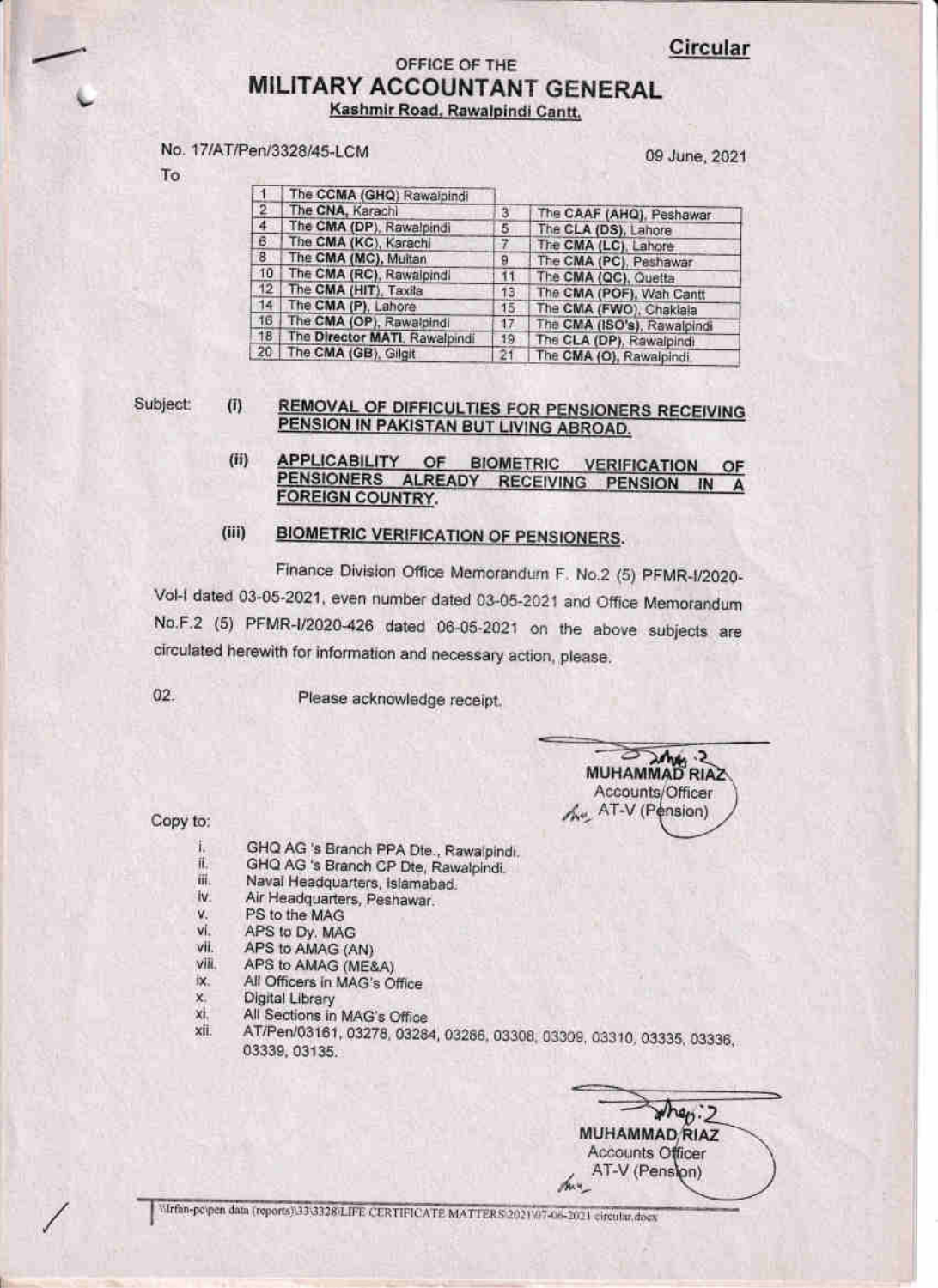# OFFICE OF THE **MILITARY ACCOUNTANT GENERAL** Kashmir Road, Rawalpindi Cantt,

## No. 17/AT/Pen/3328/45-LCM

09 June, 2021

|                 | The CCMA (GHQ) Rawaipindi     |                |                             |
|-----------------|-------------------------------|----------------|-----------------------------|
| $\overline{2}$  | The CNA, Karachi              | $\overline{3}$ | The CAAF (AHQ), Peshawar    |
| $\overline{4}$  | The CMA (DP), Rawalpindi      | 5              | The CLA (DS), Lahore        |
| $\mathbf{B}$    | The CMA (KC), Karachi         | 7              | The CMA (LC), Lahore        |
| 8               | The CMA (MC), Multan          | 9              | The CMA (PC), Peshawar      |
| 10              | The CMA (RC), Rawalpindi      | 11             | The CMA (QC), Quetta        |
| 12              | The CMA (HIT), Taxila         | 13.            | The CMA (POF), Wah Cantt    |
| 14              | The CMA (P), Lahore           | 15             | The CMA (FWO), Chaklala     |
| 16              | The CMA (OP), Rawalpindi      | 17             | The CMA (ISO's), Rawalpindi |
| 18 <sup>7</sup> | The Director MATI, Rawalpindi | 19             | The CLA (DP), Rawalpindi    |
| 20              | The CMA (GB), Gilgit          | 21             | The CMA (O), Rawainindi     |

#### Subject:  $(i)$ REMOVAL OF DIFFICULTIES FOR PENSIONERS RECEIVING PENSION IN PAKISTAN BUT LIVING ABROAD.

 $(ii)$ **APPLICABILITY** OF **BIOMETRIC VERIFICATION** OF PENSIONERS ALREADY RECEIVING PENSION IN A **FOREIGN COUNTRY.** 

#### $(iii)$ **BIOMETRIC VERIFICATION OF PENSIONERS.**

Finance Division Office Memorandum F. No.2 (5) PFMR-I/2020-Vol-I dated 03-05-2021, even number dated 03-05-2021 and Office Memorandum No.F.2 (5) PFMR-I/2020-426 dated 06-05-2021 on the above subjects are circulated herewith for information and necessary action, please.

02.

Please acknowledge receipt.

MUHAMMAD RIAZ Accounts/Officer the AT-V (Pension)

Copy to:

- GHQ AG 's Branch PPA Dte., Rawalpindi. ī.
- GHQ AG 's Branch CP Dte, Rawalpindi. īť.
- iii. Naval Headquarters, Islamabad.
- Air Headquarters, Peshawar. iv.
- v. PS to the MAG vi.
- APS to Dy. MAG vii.
- APS to AMAG (AN) viii.
- APS to AMAG (ME&A) IX.
- All Officers in MAG's Office х.
- Digital Library
- xi. All Sections in MAG's Office
- AT/Pen/03161, 03278, 03284, 03286, 03308, 03309, 03310, 03335, 03336, xii. 03339, 03135.

 $\sqrt{h_{0}/2}$ MUHAMMAD RIAZ Accounts Officer AT-V (Pension) the 4

Wirfan-peypen data (reports) 333328/LIFE CERTIFICATE MATTERS 2021/07-06-2021 circular docs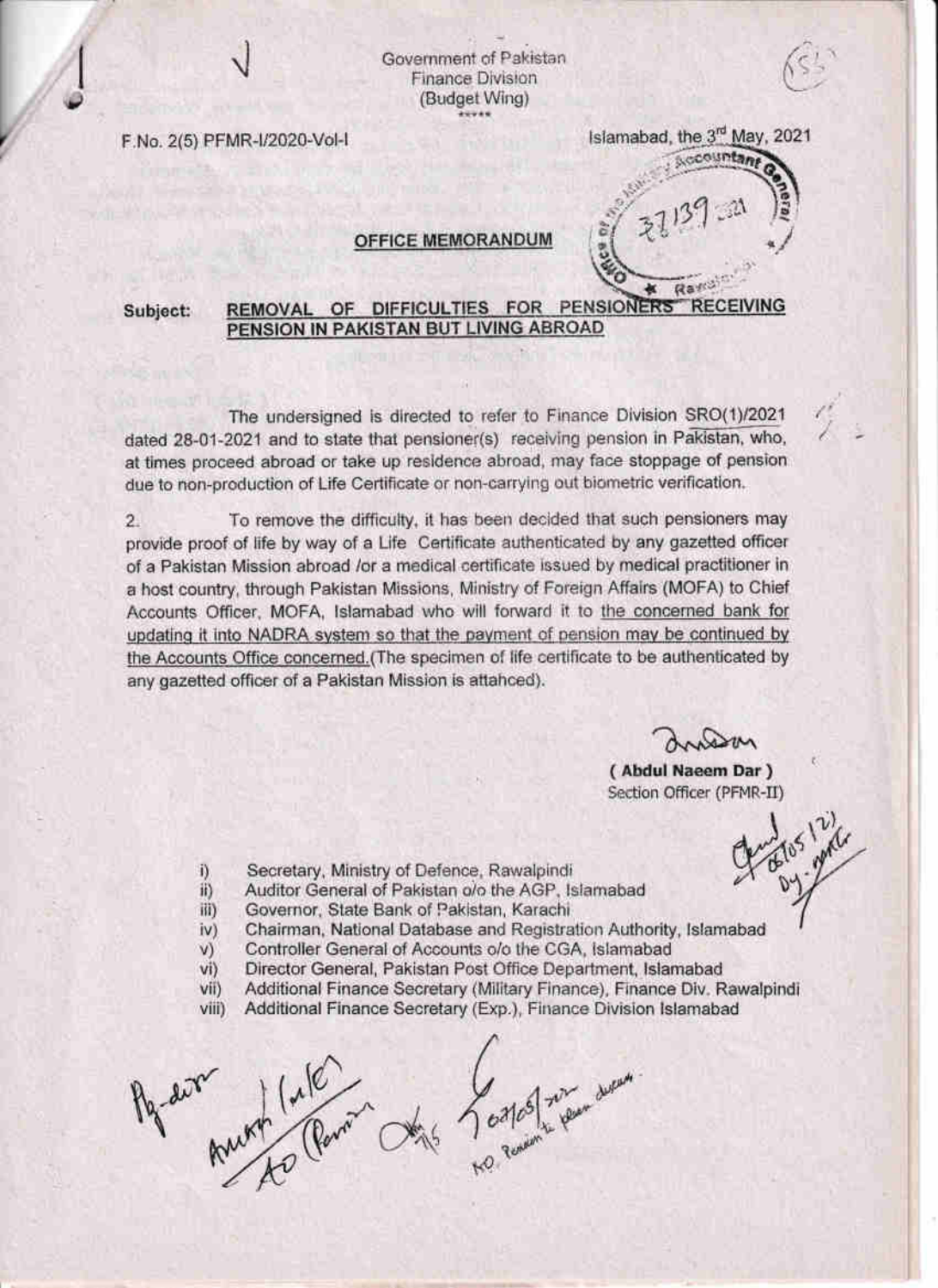Government of Pakistan **Finance Division** (Budget Wing)

F.No. 2(5) PFMR-I/2020-Vol-I

# Islamabad, the 3<sup>rd</sup> May, 2021 Accountan

**Raff** 

### **OFFICE MEMORANDUM**

#### REMOVAL OF DIFFICULTIES FOR PENSIONERS **REC FIVING** Subject: PENSION IN PAKISTAN BUT LIVING ABROAD

The undersigned is directed to refer to Finance Division SRO(1)/2021 dated 28-01-2021 and to state that pensioner(s) receiving pension in Pakistan, who, at times proceed abroad or take up residence abroad, may face stoppage of pension due to non-production of Life Certificate or non-carrying out biometric verification.

To remove the difficulty, it has been decided that such pensioners may  $\overline{2}$ provide proof of life by way of a Life Certificate authenticated by any gazetted officer of a Pakistan Mission abroad /or a medical certificate issued by medical practitioner in a host country, through Pakistan Missions, Ministry of Foreign Affairs (MOFA) to Chief Accounts Officer, MOFA, Islamabad who will forward it to the concerned bank for updating it into NADRA system so that the payment of pension may be continued by the Accounts Office concerned. (The specimen of life certificate to be authenticated by any gazetted officer of a Pakistan Mission is attahced).

(Abdul Naeem Dar) Section Officer (PFMR-II)

- Secretary, Ministry of Defence, Rawalpindi i)
- Auditor General of Pakistan o/o the AGP, Islamabad ii)
- Governor, State Bank of Pakistan, Karachi  $iii)$
- Chairman, National Database and Registration Authority, Islamabad  $iv)$
- Controller General of Accounts o/o the CGA, Islamabad V)
- Director General, Pakistan Post Office Department, Islamabad  $vi)$
- Additional Finance Secretary (Military Finance), Finance Div. Rawalpindi  $V(1)$
- viii) Additional Finance Secretary (Exp.), Finance Division Islamabad

Aquelle Anti Calendar De Lostal son derman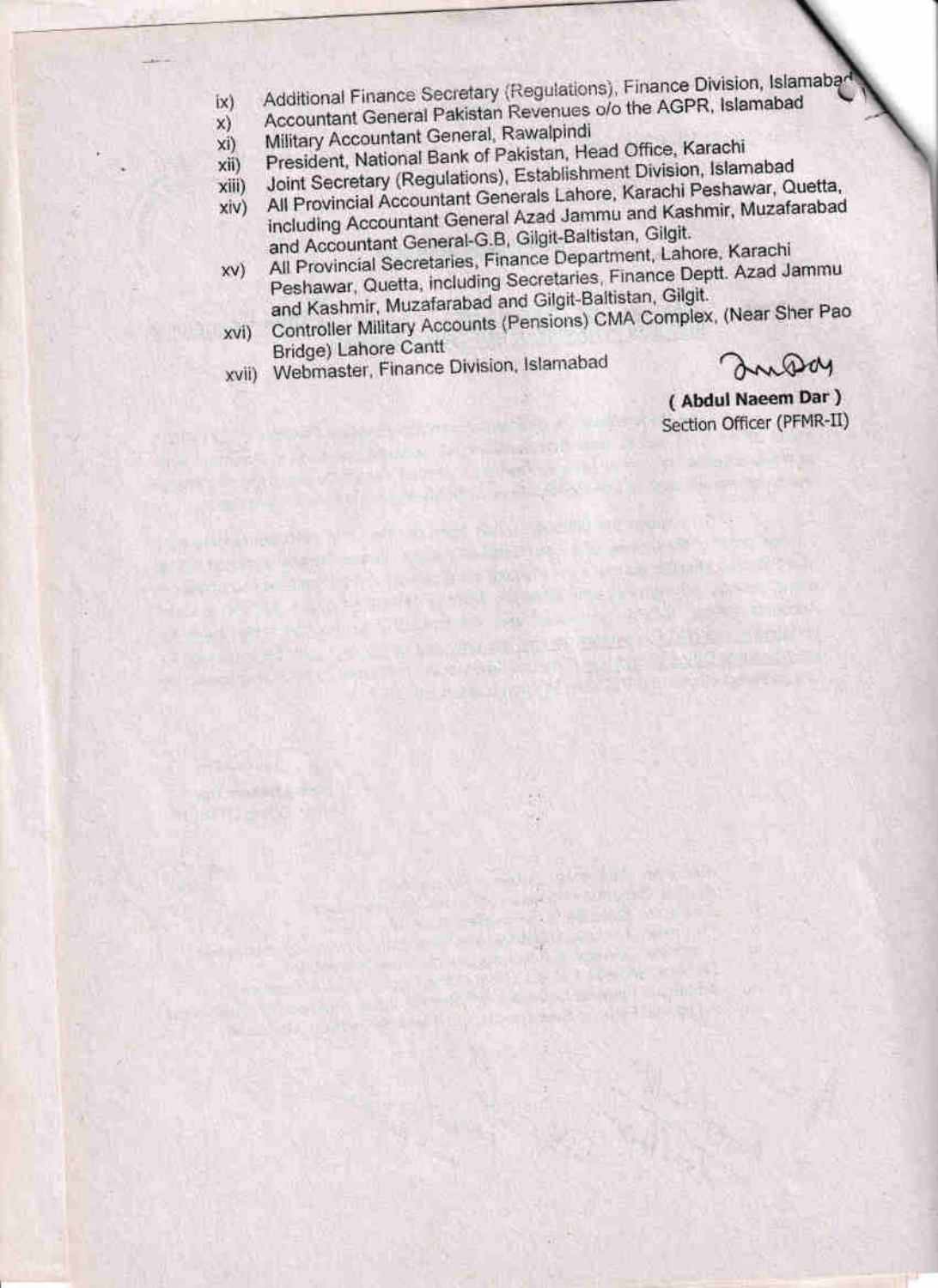- Additional Finance Secretary (Regulations), Finance Division, Islamabad
- Accountant General Pakistan Revenues o/o the AGPR, Islamabad [x]
- $x)$ Military Accountant General, Rawalpindi
- $x$ i) President, National Bank of Pakistan, Head Office, Karachi
- Joint Secretary (Regulations), Establishment Division, Islamabad xii)

Project to the limit of the limit of the boundary of the control of the control of the control of the control of 

- All Provincial Accountant Generals Lahore, Karachi Peshawar, Quetta, xiii)
- including Accountant General Azad Jammu and Kashmir, Muzafarabad  $xi(v)$ and Accountant General-G.B, Gilgit-Baltistan, Gilgit.
- All Provincial Secretaries, Finance Department, Lahore, Karachi Peshawar, Quetta, including Secretaries, Finance Deptt. Azad Jammu XV) and Kashmir, Muzafarabad and Gilgit-Baltistan, Gilgit.
- Controller Military Accounts (Pensions) CMA Complex, (Near Sher Pao xvi) Bridge) Lahore Cantt

the light of the Membership State and the second state of the second

Full start and w

Bill the magazine workers of the ba **I SHOP AND A PARTIES** 

d.Co. William Co. News and C. W. Hardwood

**A RANGE HALL AND A** 

Webmaster, Finance Division, Islamabad xvii)

**Little River Moore Brookly and Company** 

**MIRLING** 

country that the NPO shows roof 6-191 inserted international of 

Inday

(Abdul Naeem Dar) Section Officer (PFMR-II)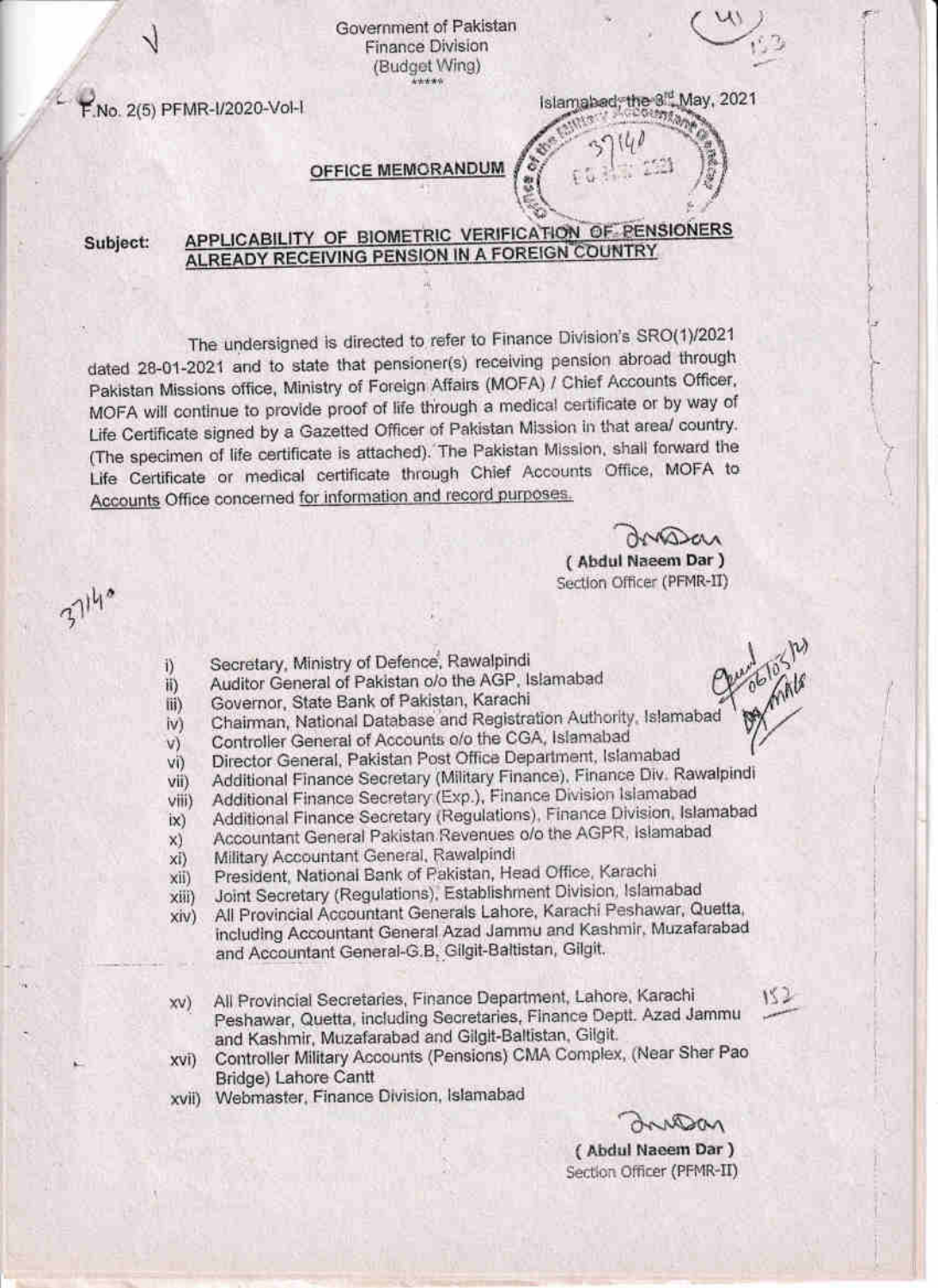Government of Pakistan Finance Division (Budget Wing)

F.No. 2(5) PFMR-I/2020-Vol-1

Islamabad, the 8<sup>rd</sup> May, 2021 German

# OFFICE MEMORANDUM

APPLICABILITY OF BIOMETRIC VERIFICATION OF PENSIONERS Subject: ALREADY RECEIVING PENSION IN A FOREIGN COUNTRY

The undersigned is directed to refer to Finance Division's SRO(1)/2021 dated 28-01-2021 and to state that pensioner(s) receiving pension abroad through Pakistan Missions office, Ministry of Foreign Affairs (MOFA) / Chief Accounts Officer, MOFA will continue to provide proof of life through a medical certificate or by way of Life Certificate signed by a Gazetted Officer of Pakistan Mission in that area/ country. (The specimen of life certificate is attached). The Pakistan Mission, shall forward the Life Certificate or medical certificate through Chief Accounts Office, MOFA to Accounts Office concerned for information and record purposes.

NAJAA

(Abdul Naeem Dar) Section Officer (PFMR-II)

37140

- Secretary, Ministry of Defence, Rawalpindi i)
- Auditor General of Pakistan o/o the AGP, Islamabad  $\overline{H}$
- Governor, State Bank of Pakistan, Karachi  $\mathbf{iii}$
- Chairman, National Database and Registration Authority, Islamabad iv)
- Controller General of Accounts o/o the CGA, Islamabad  $V)$
- Director General, Pakistan Post Office Department, Islamabad VÜ
- Additional Finance Secretary (Military Finance), Finance Div. Rawalpindi vii)
- Additional Finance Secretary (Exp.), Finance Division Islamabad viii)
- Additional Finance Secretary (Regulations), Finance Division, Islamabad  $\mathsf{ix}$
- Accountant General Pakistan Revenues o/o the AGPR, islamabad  $x)$
- Military Accountant General, Rawalpindi xi)
- President, National Bank of Pakistan, Head Office, Karachi xii)
- Joint Secretary (Regulations), Establishment Division, Islamabad  $xiii)$
- All Provincial Accountant Generals Lahore, Karachi Peshawar, Quetta,  $xiv)$ including Accountant General Azad Jammu and Kashmir, Muzafarabad and Accountant General-G.B, Gilgit-Baltistan, Gilgit.
- All Provincial Secretaries, Finance Department, Lahore, Karachi  $xy)$ Peshawar, Quetta, including Secretaries, Finance Deptt. Azad Jammu and Kashmir, Muzafarabad and Gilgit-Baltistan, Gilgit.
- Controller Military Accounts (Pensions) CMA Complex, (Near Sher Pao XVI) Bridge) Lahore Cantt
- Webmaster, Finance Division, Islamabad xvii)

152

(Abdul Naeem Dar) Section Officer (PFMR-II)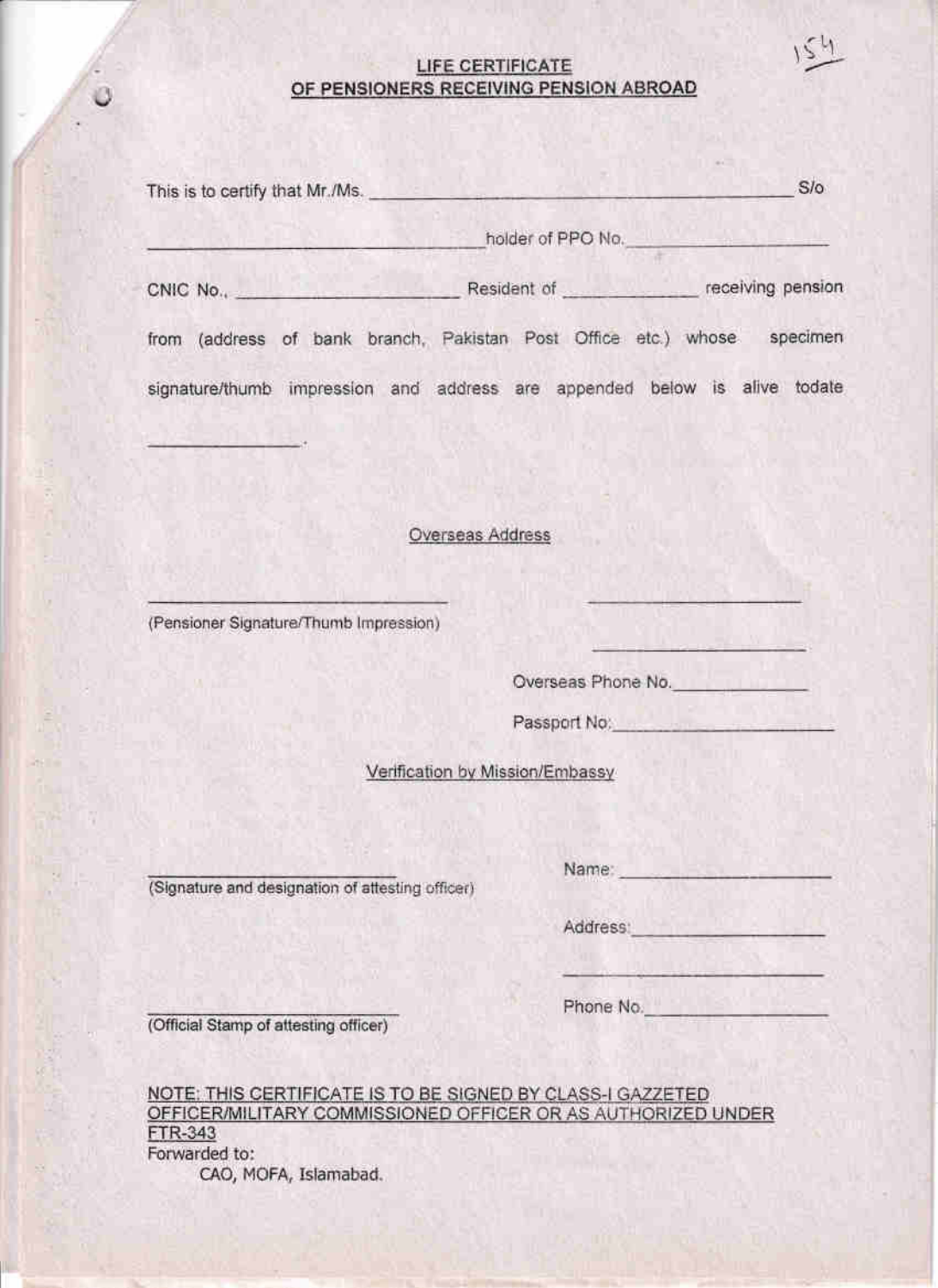# LIFE CERTIFICATE OF PENSIONERS RECEIVING PENSION ABROAD

Ö

 $154$ 

| This is to certify that Mr./Ms.                                           |                                 | S/O          |  |  |  |  |
|---------------------------------------------------------------------------|---------------------------------|--------------|--|--|--|--|
|                                                                           | holder of PPO No.               |              |  |  |  |  |
|                                                                           |                                 |              |  |  |  |  |
| from (address of bank branch, Pakistan Post Office etc.) whose specimen   |                                 |              |  |  |  |  |
| signature/thumb impression and address are appended below is alive todate |                                 |              |  |  |  |  |
|                                                                           |                                 |              |  |  |  |  |
|                                                                           |                                 |              |  |  |  |  |
|                                                                           | Overseas Address                |              |  |  |  |  |
|                                                                           |                                 |              |  |  |  |  |
| (Pensioner Signature/Thumb Impression)                                    |                                 |              |  |  |  |  |
|                                                                           | Overseas Phone No.              |              |  |  |  |  |
|                                                                           |                                 | Passport No. |  |  |  |  |
|                                                                           | Verification by Mission/Embassy |              |  |  |  |  |
|                                                                           |                                 |              |  |  |  |  |
|                                                                           | Name: Name:                     |              |  |  |  |  |
| (Signature and designation of attesting officer)                          |                                 |              |  |  |  |  |
|                                                                           | Address:                        |              |  |  |  |  |
|                                                                           | Phone No.                       |              |  |  |  |  |
| (Official Stamp of attesting officer)                                     |                                 |              |  |  |  |  |

NOTE: THIS CERTIFICATE IS TO BE SIGNED BY CLASS-I GAZZETED<br>OFFICER/MILITARY COMMISSIONED OFFICER OR AS AUTHORIZED UNDER FTR-343 Forwarded to: CAO, MOFA, Islamabad.